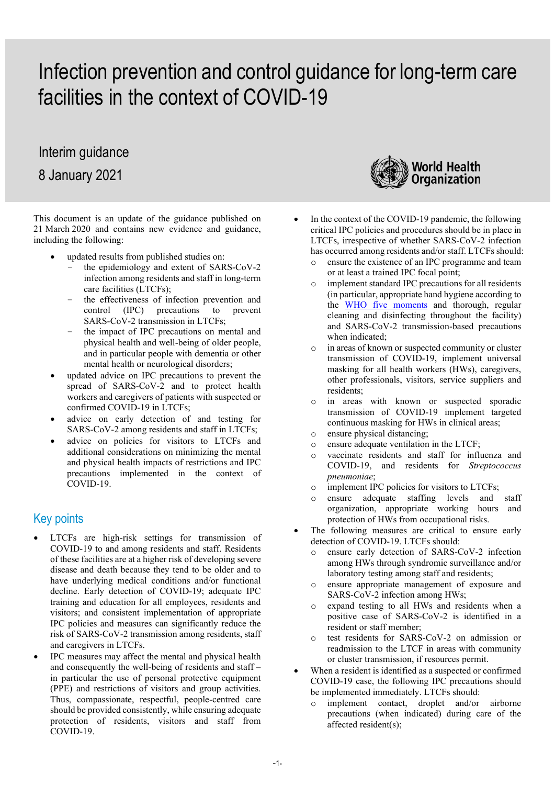# Infection prevention and control guidance for long-term care facilities in the context of COVID-19

## Interim guidance

8 January 2021

This document is an update of the guidance published on 21 March 2020 and contains new evidence and guidance, including the following:

- updated results from published studies on:
	- the epidemiology and extent of SARS-CoV-2 infection among residents and staff in long-term care facilities (LTCFs);
	- the effectiveness of infection prevention and<br>control (IPC) precautions to prevent precautions to prevent SARS-CoV-2 transmission in LTCFs;
	- the impact of IPC precautions on mental and physical health and well-being of older people, and in particular people with dementia or other mental health or neurological disorders;
- updated advice on IPC precautions to prevent the spread of SARS-CoV-2 and to protect health workers and caregivers of patients with suspected or confirmed COVID-19 in LTCFs;
- advice on early detection of and testing for SARS-CoV-2 among residents and staff in LTCFs;
- advice on policies for visitors to LTCFs and additional considerations on minimizing the mental and physical health impacts of restrictions and IPC precautions implemented in the context of COVID-19.

## Key points

- LTCFs are high-risk settings for transmission of COVID-19 to and among residents and staff. Residents of these facilities are at a higher risk of developing severe disease and death because they tend to be older and to have underlying medical conditions and/or functional decline. Early detection of COVID-19; adequate IPC training and education for all employees, residents and visitors; and consistent implementation of appropriate IPC policies and measures can significantly reduce the risk of SARS-CoV-2 transmission among residents, staff and caregivers in LTCFs.
- IPC measures may affect the mental and physical health and consequently the well-being of residents and staff – in particular the use of personal protective equipment (PPE) and restrictions of visitors and group activities. Thus, compassionate, respectful, people-centred care should be provided consistently, while ensuring adequate protection of residents, visitors and staff from COVID-19.



- In the context of the COVID-19 pandemic, the following critical IPC policies and procedures should be in place in LTCFs, irrespective of whether SARS-CoV-2 infection has occurred among residents and/or staff. LTCFs should:
	- o ensure the existence of an IPC programme and team or at least a trained IPC focal point;
	- o implement standard IPC precautions for all residents (in particular, appropriate hand hygiene according to the [WHO five](https://www.who.int/docs/default-source/infection-prevention-and-control/your-5-moments-for-hand-hygiene-poster.pdf?sfvrsn=83e2fb0e_2) moments and thorough, regular cleaning and disinfecting throughout the facility) and SARS-CoV-2 transmission-based precautions when indicated;
	- o in areas of known or suspected community or cluster transmission of COVID-19, implement universal masking for all health workers (HWs), caregivers, other professionals, visitors, service suppliers and residents;
	- o in areas with known or suspected sporadic transmission of COVID-19 implement targeted continuous masking for HWs in clinical areas;
	- o ensure physical distancing;
	- $\circ$  ensure adequate ventilation in the LTCF;<br> $\circ$  vaccinate residents and staff for infli
	- vaccinate residents and staff for influenza and COVID-19, and residents for *Streptococcus pneumoniae*;
	- o implement IPC policies for visitors to LTCFs;
	- o ensure adequate staffing levels and staff organization, appropriate working hours and protection of HWs from occupational risks.
- The following measures are critical to ensure early detection of COVID-19. LTCFs should:
	- ensure early detection of SARS-CoV-2 infection among HWs through syndromic surveillance and/or laboratory testing among staff and residents;
	- o ensure appropriate management of exposure and SARS-CoV-2 infection among HWs;
	- o expand testing to all HWs and residents when a positive case of SARS-CoV-2 is identified in a resident or staff member;
	- o test residents for SARS-CoV-2 on admission or readmission to the LTCF in areas with community or cluster transmission, if resources permit.
- When a resident is identified as a suspected or confirmed COVID-19 case, the following IPC precautions should be implemented immediately. LTCFs should:
	- o implement contact, droplet and/or airborne precautions (when indicated) during care of the affected resident(s);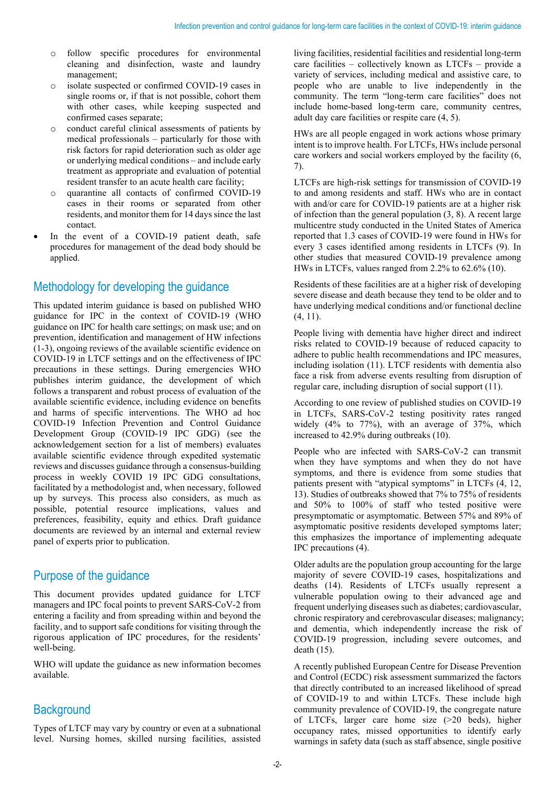- o follow specific procedures for environmental cleaning and disinfection, waste and laundry management;
- isolate suspected or confirmed COVID-19 cases in single rooms or, if that is not possible, cohort them with other cases, while keeping suspected and confirmed cases separate;
- o conduct careful clinical assessments of patients by medical professionals – particularly for those with risk factors for rapid deterioration such as older age or underlying medical conditions – and include early treatment as appropriate and evaluation of potential resident transfer to an acute health care facility;
- quarantine all contacts of confirmed COVID-19 cases in their rooms or separated from other residents, and monitor them for 14 days since the last contact.
- In the event of a COVID-19 patient death, safe procedures for management of the dead body should be applied.

## Methodology for developing the guidance

This updated interim guidance is based on published WHO guidance for IPC in the context of COVID-19 (WHO guidance on IPC for health care settings; on mask use; and on prevention, identification and management of HW infections (1-3), ongoing reviews of the available scientific evidence on COVID-19 in LTCF settings and on the effectiveness of IPC precautions in these settings. During emergencies WHO publishes interim guidance, the development of which follows a transparent and robust process of evaluation of the available scientific evidence, including evidence on benefits and harms of specific interventions. The WHO ad hoc COVID-19 Infection Prevention and Control Guidance Development Group (COVID-19 IPC GDG) (see the acknowledgement section for a list of members) evaluates available scientific evidence through expedited systematic reviews and discusses guidance through a consensus-building process in weekly COVID 19 IPC GDG consultations, facilitated by a methodologist and, when necessary, followed up by surveys. This process also considers, as much as possible, potential resource implications, values and preferences, feasibility, equity and ethics. Draft guidance documents are reviewed by an internal and external review panel of experts prior to publication.

## Purpose of the guidance

This document provides updated guidance for LTCF managers and IPC focal points to prevent SARS-CoV-2 from entering a facility and from spreading within and beyond the facility, and to support safe conditions for visiting through the rigorous application of IPC procedures, for the residents' well-being.

WHO will update the guidance as new information becomes available.

## **Background**

Types of LTCF may vary by country or even at a subnational level. Nursing homes, skilled nursing facilities, assisted

living facilities, residential facilities and residential long-term care facilities – collectively known as LTCFs – provide a variety of services, including medical and assistive care, to people who are unable to live independently in the community. The term "long-term care facilities" does not include home-based long-term care, community centres, adult day care facilities or respite care (4, 5).

HWs are all people engaged in work actions whose primary intent is to improve health. For LTCFs, HWs include personal care workers and social workers employed by the facility (6, 7).

LTCFs are high-risk settings for transmission of COVID-19 to and among residents and staff. HWs who are in contact with and/or care for COVID-19 patients are at a higher risk of infection than the general population (3, 8). A recent large multicentre study conducted in the United States of America reported that 1.3 cases of COVID-19 were found in HWs for every 3 cases identified among residents in LTCFs (9). In other studies that measured COVID-19 prevalence among HWs in LTCFs, values ranged from 2.2% to 62.6% (10).

Residents of these facilities are at a higher risk of developing severe disease and death because they tend to be older and to have underlying medical conditions and/or functional decline (4, 11).

People living with dementia have higher direct and indirect risks related to COVID-19 because of reduced capacity to adhere to public health recommendations and IPC measures, including isolation (11). LTCF residents with dementia also face a risk from adverse events resulting from disruption of regular care, including disruption of social support (11).

According to one review of published studies on COVID-19 in LTCFs, SARS-CoV-2 testing positivity rates ranged widely (4% to 77%), with an average of 37%, which increased to 42.9% during outbreaks (10).

People who are infected with SARS-CoV-2 can transmit when they have symptoms and when they do not have symptoms, and there is evidence from some studies that patients present with "atypical symptoms" in LTCFs (4, 12, 13). Studies of outbreaks showed that 7% to 75% of residents and 50% to 100% of staff who tested positive were presymptomatic or asymptomatic. Between 57% and 89% of asymptomatic positive residents developed symptoms later; this emphasizes the importance of implementing adequate IPC precautions (4).

Older adults are the population group accounting for the large majority of severe COVID-19 cases, hospitalizations and deaths (14). Residents of LTCFs usually represent a vulnerable population owing to their advanced age and frequent underlying diseases such as diabetes; cardiovascular, chronic respiratory and cerebrovascular diseases; malignancy; and dementia, which independently increase the risk of COVID-19 progression, including severe outcomes, and death (15).

A recently published European Centre for Disease Prevention and Control (ECDC) risk assessment summarized the factors that directly contributed to an increased likelihood of spread of COVID-19 to and within LTCFs. These include high community prevalence of COVID-19, the congregate nature of LTCFs, larger care home size (>20 beds), higher occupancy rates, missed opportunities to identify early warnings in safety data (such as staff absence, single positive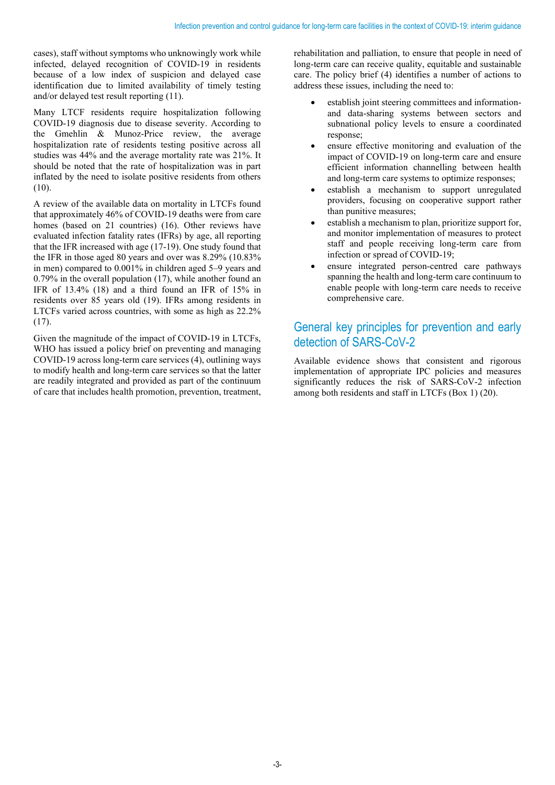cases), staff without symptoms who unknowingly work while infected, delayed recognition of COVID-19 in residents because of a low index of suspicion and delayed case identification due to limited availability of timely testing and/or delayed test result reporting (11).

Many LTCF residents require hospitalization following COVID-19 diagnosis due to disease severity. According to the Gmehlin & Munoz-Price review, the average hospitalization rate of residents testing positive across all studies was 44% and the average mortality rate was 21%. It should be noted that the rate of hospitalization was in part inflated by the need to isolate positive residents from others (10).

A review of the available data on mortality in LTCFs found that approximately 46% of COVID-19 deaths were from care homes (based on 21 countries) (16). Other reviews have evaluated infection fatality rates (IFRs) by age, all reporting that the IFR increased with age (17-19). One study found that the IFR in those aged 80 years and over was 8.29% (10.83% in men) compared to 0.001% in children aged 5–9 years and 0.79% in the overall population (17), while another found an IFR of 13.4% (18) and a third found an IFR of 15% in residents over 85 years old (19). IFRs among residents in LTCFs varied across countries, with some as high as 22.2% (17).

Given the magnitude of the impact of COVID-19 in LTCFs, WHO has issued a policy brief on preventing and managing COVID-19 across long-term care services (4), outlining ways to modify health and long-term care services so that the latter are readily integrated and provided as part of the continuum of care that includes health promotion, prevention, treatment,

rehabilitation and palliation, to ensure that people in need of long-term care can receive quality, equitable and sustainable care. The policy brief (4) identifies a number of actions to address these issues, including the need to:

- establish joint steering committees and informationand data-sharing systems between sectors and subnational policy levels to ensure a coordinated response;
- ensure effective monitoring and evaluation of the impact of COVID-19 on long-term care and ensure efficient information channelling between health and long-term care systems to optimize responses;
- establish a mechanism to support unregulated providers, focusing on cooperative support rather than punitive measures;
- establish a mechanism to plan, prioritize support for, and monitor implementation of measures to protect staff and people receiving long-term care from infection or spread of COVID-19;
- ensure integrated person-centred care pathways spanning the health and long-term care continuum to enable people with long-term care needs to receive comprehensive care.

## General key principles for prevention and early detection of SARS-CoV-2

Available evidence shows that consistent and rigorous implementation of appropriate IPC policies and measures significantly reduces the risk of SARS-CoV-2 infection among both residents and staff in LTCFs (Box 1) (20).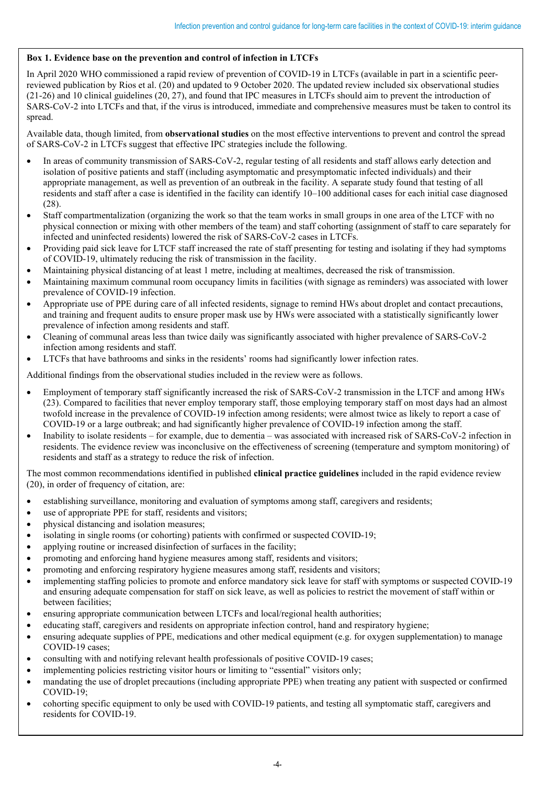#### **Box 1. Evidence base on the prevention and control of infection in LTCFs**

In April 2020 WHO commissioned a rapid review of prevention of COVID-19 in LTCFs (available in part in a scientific peerreviewed publication by Rios et al. (20) and updated to 9 October 2020. The updated review included six observational studies (21-26) and 10 clinical guidelines (20, 27), and found that IPC measures in LTCFs should aim to prevent the introduction of SARS-CoV-2 into LTCFs and that, if the virus is introduced, immediate and comprehensive measures must be taken to control its spread.

Available data, though limited, from **observational studies** on the most effective interventions to prevent and control the spread of SARS-CoV-2 in LTCFs suggest that effective IPC strategies include the following.

- In areas of community transmission of SARS-CoV-2, regular testing of all residents and staff allows early detection and isolation of positive patients and staff (including asymptomatic and presymptomatic infected individuals) and their appropriate management, as well as prevention of an outbreak in the facility. A separate study found that testing of all residents and staff after a case is identified in the facility can identify 10–100 additional cases for each initial case diagnosed (28).
- Staff compartmentalization (organizing the work so that the team works in small groups in one area of the LTCF with no physical connection or mixing with other members of the team) and staff cohorting (assignment of staff to care separately for infected and uninfected residents) lowered the risk of SARS-CoV-2 cases in LTCFs.
- Providing paid sick leave for LTCF staff increased the rate of staff presenting for testing and isolating if they had symptoms of COVID-19, ultimately reducing the risk of transmission in the facility.
- Maintaining physical distancing of at least 1 metre, including at mealtimes, decreased the risk of transmission.
- Maintaining maximum communal room occupancy limits in facilities (with signage as reminders) was associated with lower prevalence of COVID-19 infection.
- Appropriate use of PPE during care of all infected residents, signage to remind HWs about droplet and contact precautions, and training and frequent audits to ensure proper mask use by HWs were associated with a statistically significantly lower prevalence of infection among residents and staff.
- Cleaning of communal areas less than twice daily was significantly associated with higher prevalence of SARS-CoV-2 infection among residents and staff.
- LTCFs that have bathrooms and sinks in the residents' rooms had significantly lower infection rates.

Additional findings from the observational studies included in the review were as follows.

- Employment of temporary staff significantly increased the risk of SARS-CoV-2 transmission in the LTCF and among HWs (23). Compared to facilities that never employ temporary staff, those employing temporary staff on most days had an almost twofold increase in the prevalence of COVID-19 infection among residents; were almost twice as likely to report a case of COVID-19 or a large outbreak; and had significantly higher prevalence of COVID-19 infection among the staff.
- Inability to isolate residents for example, due to dementia was associated with increased risk of SARS-CoV-2 infection in residents. The evidence review was inconclusive on the effectiveness of screening (temperature and symptom monitoring) of residents and staff as a strategy to reduce the risk of infection.

The most common recommendations identified in published **clinical practice guidelines** included in the rapid evidence review (20), in order of frequency of citation, are:

- establishing surveillance, monitoring and evaluation of symptoms among staff, caregivers and residents;
- use of appropriate PPE for staff, residents and visitors;
- physical distancing and isolation measures;
- isolating in single rooms (or cohorting) patients with confirmed or suspected COVID-19;
- applying routine or increased disinfection of surfaces in the facility;
- promoting and enforcing hand hygiene measures among staff, residents and visitors;
- promoting and enforcing respiratory hygiene measures among staff, residents and visitors;
- implementing staffing policies to promote and enforce mandatory sick leave for staff with symptoms or suspected COVID-19 and ensuring adequate compensation for staff on sick leave, as well as policies to restrict the movement of staff within or between facilities;
- ensuring appropriate communication between LTCFs and local/regional health authorities;
- educating staff, caregivers and residents on appropriate infection control, hand and respiratory hygiene;
- ensuring adequate supplies of PPE, medications and other medical equipment (e.g. for oxygen supplementation) to manage COVID-19 cases;
- consulting with and notifying relevant health professionals of positive COVID-19 cases;
- implementing policies restricting visitor hours or limiting to "essential" visitors only;
- mandating the use of droplet precautions (including appropriate PPE) when treating any patient with suspected or confirmed COVID-19;
- cohorting specific equipment to only be used with COVID-19 patients, and testing all symptomatic staff, caregivers and residents for COVID-19.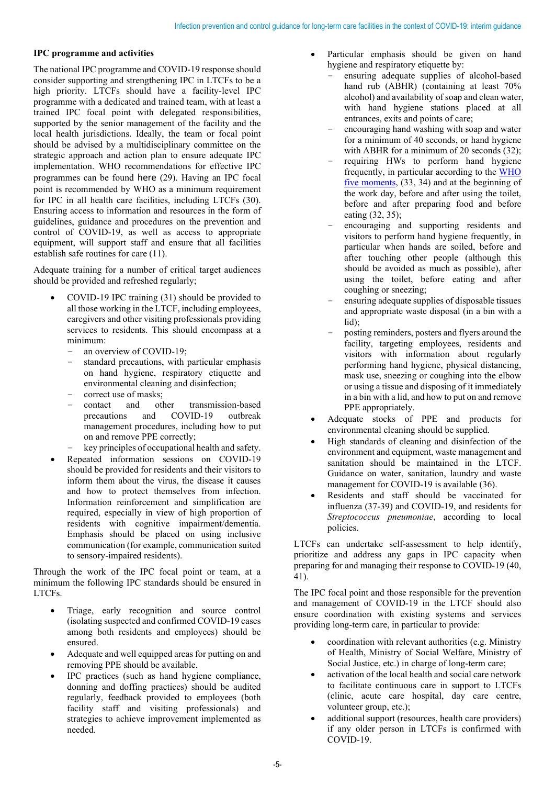#### **IPC programme and activities**

The national IPC programme and COVID-19 response should consider supporting and strengthening IPC in LTCFs to be a high priority. LTCFs should have a facility-level IPC programme with a dedicated and trained team, with at least a trained IPC focal point with delegated responsibilities, supported by the senior management of the facility and the local health jurisdictions. Ideally, the team or focal point should be advised by a multidisciplinary committee on the strategic approach and action plan to ensure adequate IPC implementation. WHO recommendations for effective IPC programmes can be found [here](https://www.who.int/infection-prevention/publications/ipc-components-guidelines/en/) (29). Having an IPC focal point is recommended by WHO as [a minimum requirement](https://apps.who.int/iris/handle/10665/330080?search-result=true&query=Minimum+Requirements+for+infection+prevention+and+control+%28IPC%29+programmes&scope=%2F&rpp=10&sort_by=score&order=desc)  [for IPC in all health care facilities,](https://apps.who.int/iris/handle/10665/330080?search-result=true&query=Minimum+Requirements+for+infection+prevention+and+control+%28IPC%29+programmes&scope=%2F&rpp=10&sort_by=score&order=desc) including LTCFs (30). Ensuring access to information and resources in the form of guidelines, guidance and procedures on the prevention and control of COVID-19, as well as access to appropriate equipment, will support staff and ensure that all facilities establish safe routines for care (11).

Adequate training for a number of critical target audiences should be provided and refreshed regularly;

- COVID-19 IPC training (31) should be provided to all those working in the LTCF, including employees, caregivers and other visiting professionals providing services to residents. This should encompass at a minimum:
	- an overview of COVID-19;
	- standard precautions, with particular emphasis on hand hygiene, respiratory etiquette and environmental cleaning and disinfection;
	- exprect use of masks;<br>contact and other
	- d other transmission-based<br>and COVID-19 outbreak precautions management procedures, including how to put on and remove PPE correctly;
	- key principles of occupational health and safety.
- Repeated information sessions on COVID-19 should be provided for residents and their visitors to inform them about the virus, the disease it causes and how to protect themselves from infection. Information reinforcement and simplification are required, especially in view of high proportion of residents with cognitive impairment/dementia. Emphasis should be placed on using inclusive communication (for example, communication suited to sensory-impaired residents).

Through the work of the IPC focal point or team, at a minimum the following IPC standards should be ensured in LTCFs.

- Triage, early recognition and source control (isolating suspected and confirmed COVID-19 cases among both residents and employees) should be ensured.
- Adequate and well equipped areas for putting on and removing PPE should be available.
- IPC practices (such as hand hygiene compliance, donning and doffing practices) should be audited regularly, feedback provided to employees (both facility staff and visiting professionals) and strategies to achieve improvement implemented as needed.
- Particular emphasis should be given on hand hygiene and respiratory etiquette by:
	- ensuring adequate supplies of alcohol-based hand rub (ABHR) (containing at least 70% alcohol) and availability of soap and clean water, with hand hygiene stations placed at all entrances, exits and points of care;
	- encouraging hand washing with soap and water for a minimum of 40 seconds, or hand hygiene with ABHR for a minimum of 20 seconds (32);
	- requiring HWs to perform hand hygiene frequently, in particular according to the [WHO](https://www.who.int/docs/default-source/infection-prevention-and-control/your-5-moments-for-hand-hygiene-poster.pdf?sfvrsn=83e2fb0e_2)  five [moments,](https://www.who.int/docs/default-source/infection-prevention-and-control/your-5-moments-for-hand-hygiene-poster.pdf?sfvrsn=83e2fb0e_2) (33, 34) and at the beginning of the work day, before and after using the toilet, before and after preparing food and before eating (32, 35);
	- encouraging and supporting residents and visitors to perform hand hygiene frequently, in particular when hands are soiled, before and after touching other people (although this should be avoided as much as possible), after using the toilet, before eating and after coughing or sneezing;
	- ensuring adequate supplies of disposable tissues and appropriate waste disposal (in a bin with a lid);
	- posting reminders, posters and flyers around the facility, targeting employees, residents and visitors with information about regularly performing hand hygiene, physical distancing, mask use, sneezing or coughing into the elbow or using a tissue and disposing of it immediately in a bin with a lid, and how to put on and remove PPE appropriately.
- Adequate stocks of PPE and products for environmental cleaning should be supplied.
- High standards of cleaning and disinfection of the environment and equipment, waste management and sanitation should be maintained in the LTCF. Guidance on water, sanitation, laundry and waste management for COVID-19 is available (36).
- Residents and staff should be vaccinated for influenza (37-39) and COVID-19, and residents for *Streptococcus pneumoniae*, according to local policies.

LTCFs can undertake self-assessment to help identify, prioritize and address any gaps in IPC capacity when preparing for and managing their response to COVID-19 (40, 41).

The IPC focal point and those responsible for the prevention and management of COVID-19 in the LTCF should also ensure coordination with existing systems and services providing long-term care, in particular to provide:

- coordination with relevant authorities (e.g. Ministry of Health, Ministry of Social Welfare, Ministry of Social Justice, etc.) in charge of long-term care;
- activation of the local health and social care network to facilitate continuous care in support to LTCFs (clinic, acute care hospital, day care centre, volunteer group, etc.);
- additional support (resources, health care providers) if any older person in LTCFs is confirmed with COVID-19.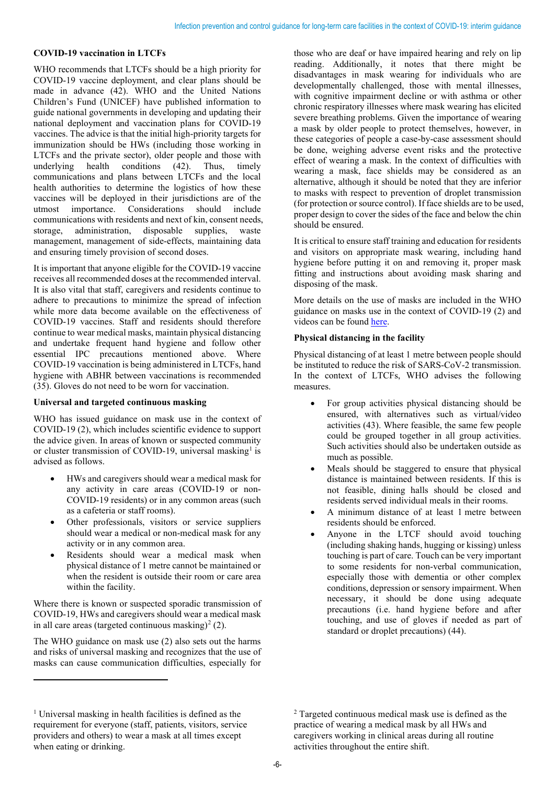#### **COVID-19 vaccination in LTCFs**

WHO recommends that LTCFs should be a high priority for COVID-19 vaccine deployment, and clear plans should be made in advance (42). WHO and the United Nations Children's Fund (UNICEF) have published information to guide national governments in developing and updating their national deployment and vaccination plans for COVID-19 vaccines. The advice is that the initial high-priority targets for immunization should be HWs (including those working in LTCFs and the private sector), older people and those with underlying health conditions (42). Thus, timely communications and plans between LTCFs and the local health authorities to determine the logistics of how these vaccines will be deployed in their jurisdictions are of the utmost importance. Considerations should include communications with residents and next of kin, consent needs, storage, administration, disposable supplies, waste management, management of side-effects, maintaining data and ensuring timely provision of second doses.

It is important that anyone eligible for the COVID-19 vaccine receives all recommended doses at the recommended interval. It is also vital that staff, caregivers and residents continue to adhere to precautions to minimize the spread of infection while more data become available on the effectiveness of COVID-19 vaccines. Staff and residents should therefore continue to wear medical masks, maintain physical distancing and undertake frequent hand hygiene and follow other essential IPC precautions mentioned above. Where COVID-19 vaccination is being administered in LTCFs, hand hygiene with ABHR between vaccinations is recommended (35). Gloves do not need to be worn for vaccination.

#### **Universal and targeted continuous masking**

WHO has issued guidance on mask use in the context of COVID-19 (2), which includes scientific evidence to support the advice given. In areas of known or suspected community or cluster transmission of COVID-19, universal masking<sup>1</sup> is advised as follows.

- HWs and caregivers should wear a medical mask for any activity in care areas (COVID-19 or non-COVID-19 residents) or in any common areas (such as a cafeteria or staff rooms).
- Other professionals, visitors or service suppliers should wear a medical or non-medical mask for any activity or in any common area.
- Residents should wear a medical mask when physical distance of 1 metre cannot be maintained or when the resident is outside their room or care area within the facility.

Where there is known or suspected sporadic transmission of COVID-19, HWs and caregivers should wear a medical mask in all care areas (targeted continuous masking)<sup>[2](#page-5-0)</sup> (2).

The WHO guidance on mask use (2) also sets out the harms and risks of universal masking and recognizes that the use of masks can cause communication difficulties, especially for

those who are deaf or have impaired hearing and rely on lip reading. Additionally, it notes that there might be disadvantages in mask wearing for individuals who are developmentally challenged, those with mental illnesses, with cognitive impairment decline or with asthma or other chronic respiratory illnesses where mask wearing has elicited severe breathing problems. Given the importance of wearing a mask by older people to protect themselves, however, in these categories of people a case-by-case assessment should be done, weighing adverse event risks and the protective effect of wearing a mask. In the context of difficulties with wearing a mask, face shields may be considered as an alternative, although it should be noted that they are inferior to masks with respect to prevention of droplet transmission (for protection or source control). If face shields are to be used, proper design to cover the sides of the face and below the chin should be ensured.

It is critical to ensure staff training and education for residents and visitors on appropriate mask wearing, including hand hygiene before putting it on and removing it, proper mask fitting and instructions about avoiding mask sharing and disposing of the mask.

More details on the use of masks are included in the WHO guidance on masks use in the context of COVID-19 (2) and videos can be found [here.](https://www.who.int/emergencies/diseases/novel-coronavirus-2019/advice-for-public/videos)

#### **Physical distancing in the facility**

Physical distancing of at least 1 metre between people should be instituted to reduce the risk of SARS-CoV-2 transmission. In the context of LTCFs, WHO advises the following measures.

- For group activities physical distancing should be ensured, with alternatives such as virtual/video activities (43). Where feasible, the same few people could be grouped together in all group activities. Such activities should also be undertaken outside as much as possible.
- Meals should be staggered to ensure that physical distance is maintained between residents. If this is not feasible, dining halls should be closed and residents served individual meals in their rooms.
- A minimum distance of at least 1 metre between residents should be enforced.
- Anyone in the LTCF should avoid touching (including shaking hands, hugging or kissing) unless touching is part of care. Touch can be very important to some residents for non-verbal communication, especially those with dementia or other complex conditions, depression or sensory impairment. When necessary, it should be done using adequate precautions (i.e. hand hygiene before and after touching, and use of gloves if needed as part of standard or droplet precautions) (44).

<span id="page-5-0"></span><sup>&</sup>lt;sup>1</sup> Universal masking in health facilities is defined as the requirement for everyone (staff, patients, visitors, service providers and others) to wear a mask at all times except when eating or drinking.

<sup>2</sup> Targeted continuous medical mask use is defined as the practice of wearing a medical mask by all HWs and caregivers working in clinical areas during all routine activities throughout the entire shift.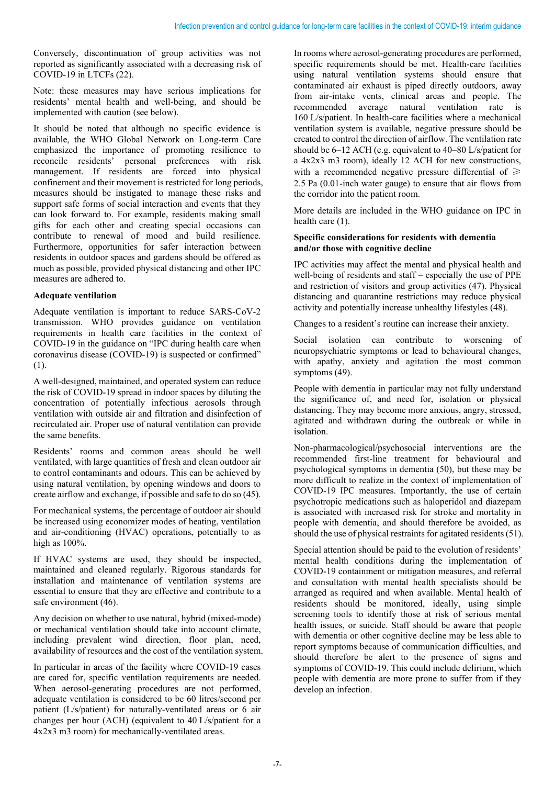Conversely, discontinuation of group activities was not reported as significantly associated with a decreasing risk of COVID-19 in LTCFs (22).

Note: these measures may have serious implications for residents' mental health and well-being, and should be implemented with caution (see below).

It should be noted that although no specific evidence is available, the WHO Global Network on Long-term Care emphasized the importance of promoting resilience to reconcile residents' personal preferences with risk management. If residents are forced into physical confinement and their movement is restricted for long periods, measures should be instigated to manage these risks and support safe forms of social interaction and events that they can look forward to. For example, residents making small gifts for each other and creating special occasions can contribute to renewal of mood and build resilience. Furthermore, opportunities for safer interaction between residents in outdoor spaces and gardens should be offered as much as possible, provided physical distancing and other IPC measures are adhered to.

#### **Adequate ventilation**

Adequate ventilation is important to reduce SARS-CoV-2 transmission. WHO provides guidance on ventilation requirements in health care facilities in the context of COVID-19 in the guidance on "IPC during health care when coronavirus disease (COVID-19) is suspected or confirmed" (1).

A well-designed, maintained, and operated system can reduce the risk of COVID-19 spread in indoor spaces by diluting the concentration of potentially infectious aerosols through ventilation with outside air and filtration and disinfection of recirculated air. Proper use of natural ventilation can provide the same benefits.

Residents' rooms and common areas should be well ventilated, with large quantities of fresh and clean outdoor air to control contaminants and odours. This can be achieved by using natural ventilation, by opening windows and doors to create airflow and exchange, if possible and safe to do so (45).

For mechanical systems, the percentage of outdoor air should be increased using economizer modes of heating, ventilation and air-conditioning (HVAC) operations, potentially to as high as 100%.

If HVAC systems are used, they should be inspected, maintained and cleaned regularly. Rigorous standards for installation and maintenance of ventilation systems are essential to ensure that they are effective and contribute to a safe environment (46).

Any decision on whether to use natural, hybrid (mixed-mode) or mechanical ventilation should take into account climate, including prevalent wind direction, floor plan, need, availability of resources and the cost of the ventilation system.

In particular in areas of the facility where COVID-19 cases are cared for, specific ventilation requirements are needed. When aerosol-generating procedures are not performed, adequate ventilation is considered to be 60 litres/second per patient (L/s/patient) for naturally-ventilated areas or 6 air changes per hour (ACH) (equivalent to 40 L/s/patient for a 4x2x3 m3 room) for mechanically-ventilated areas.

In rooms where aerosol-generating procedures are performed, specific requirements should be met. Health-care facilities using natural ventilation systems should ensure that contaminated air exhaust is piped directly outdoors, away from air-intake vents, clinical areas and people. The recommended average natural ventilation rate is 160 L/s/patient. In health-care facilities where a mechanical ventilation system is available, negative pressure should be created to control the direction of airflow. The ventilation rate should be 6–12 ACH (e.g. equivalent to 40–80 L/s/patient for a 4x2x3 m3 room), ideally 12 ACH for new constructions, with a recommended negative pressure differential of  $\geq$ 2.5 Pa (0.01-inch water gauge) to ensure that air flows from the corridor into the patient room.

More details are included in the WHO guidance on IPC in health care  $(1)$ .

#### **Specific considerations for residents with dementia and/or those with cognitive decline**

IPC activities may affect the mental and physical health and well-being of residents and staff – especially the use of PPE and restriction of visitors and group activities (47). Physical distancing and quarantine restrictions may reduce physical activity and potentially increase unhealthy lifestyles (48).

Changes to a resident's routine can increase their anxiety.

Social isolation can contribute to worsening of neuropsychiatric symptoms or lead to behavioural changes, with apathy, anxiety and agitation the most common symptoms (49).

People with dementia in particular may not fully understand the significance of, and need for, isolation or physical distancing. They may become more anxious, angry, stressed, agitated and withdrawn during the outbreak or while in isolation.

Non-pharmacological/psychosocial interventions are the recommended first-line treatment for behavioural and psychological symptoms in dementia (50), but these may be more difficult to realize in the context of implementation of COVID-19 IPC measures. Importantly, the use of certain psychotropic medications such as haloperidol and diazepam is associated with increased risk for stroke and mortality in people with dementia, and should therefore be avoided, as should the use of physical restraints for agitated residents (51).

Special attention should be paid to the evolution of residents' mental health conditions during the implementation of COVID-19 containment or mitigation measures, and referral and consultation with mental health specialists should be arranged as required and when available. Mental health of residents should be monitored, ideally, using simple screening tools to identify those at risk of serious mental health issues, or suicide. Staff should be aware that people with dementia or other cognitive decline may be less able to report symptoms because of communication difficulties, and should therefore be alert to the presence of signs and symptoms of COVID-19. This could include delirium, which people with dementia are more prone to suffer from if they develop an infection.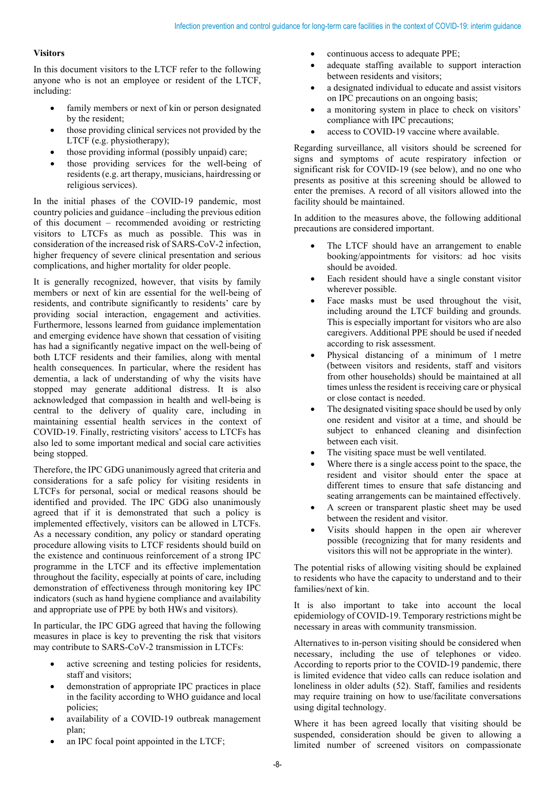#### **Visitors**

In this document visitors to the LTCF refer to the following anyone who is not an employee or resident of the LTCF, including:

- family members or next of kin or person designated by the resident;
- those providing clinical services not provided by the LTCF (e.g. physiotherapy);
- those providing informal (possibly unpaid) care;
- those providing services for the well-being of residents (e.g. art therapy, musicians, hairdressing or religious services).

In the initial phases of the COVID-19 pandemic, most country policies and guidance –including the previous edition of this document – recommended avoiding or restricting visitors to LTCFs as much as possible. This was in consideration of the increased risk of SARS-CoV-2 infection, higher frequency of severe clinical presentation and serious complications, and higher mortality for older people.

It is generally recognized, however, that visits by family members or next of kin are essential for the well-being of residents, and contribute significantly to residents' care by providing social interaction, engagement and activities. Furthermore, lessons learned from guidance implementation and emerging evidence have shown that cessation of visiting has had a significantly negative impact on the well-being of both LTCF residents and their families, along with mental health consequences. In particular, where the resident has dementia, a lack of understanding of why the visits have stopped may generate additional distress. It is also acknowledged that compassion in health and well-being is central to the delivery of quality care, including in maintaining essential health services in the context of COVID-19. Finally, restricting visitors' access to LTCFs has also led to some important medical and social care activities being stopped.

Therefore, the IPC GDG unanimously agreed that criteria and considerations for a safe policy for visiting residents in LTCFs for personal, social or medical reasons should be identified and provided. The IPC GDG also unanimously agreed that if it is demonstrated that such a policy is implemented effectively, visitors can be allowed in LTCFs. As a necessary condition, any policy or standard operating procedure allowing visits to LTCF residents should build on the existence and continuous reinforcement of a strong IPC programme in the LTCF and its effective implementation throughout the facility, especially at points of care, including demonstration of effectiveness through monitoring key IPC indicators (such as hand hygiene compliance and availability and appropriate use of PPE by both HWs and visitors).

In particular, the IPC GDG agreed that having the following measures in place is key to preventing the risk that visitors may contribute to SARS-CoV-2 transmission in LTCFs:

- active screening and testing policies for residents, staff and visitors;
- demonstration of appropriate IPC practices in place in the facility according to WHO guidance and local policies;
- availability of a COVID-19 outbreak management plan;
- an IPC focal point appointed in the LTCF;
- continuous access to adequate PPE;
- adequate staffing available to support interaction between residents and visitors;
- a designated individual to educate and assist visitors on IPC precautions on an ongoing basis;
- a monitoring system in place to check on visitors' compliance with IPC precautions;
- access to COVID-19 vaccine where available.

Regarding surveillance, all visitors should be screened for signs and symptoms of acute respiratory infection or significant risk for COVID-19 (see below), and no one who presents as positive at this screening should be allowed to enter the premises. A record of all visitors allowed into the facility should be maintained.

In addition to the measures above, the following additional precautions are considered important.

- The LTCF should have an arrangement to enable booking/appointments for visitors: ad hoc visits should be avoided.
- Each resident should have a single constant visitor wherever possible.
- Face masks must be used throughout the visit, including around the LTCF building and grounds. This is especially important for visitors who are also caregivers. Additional PPE should be used if needed according to risk assessment.
- Physical distancing of a minimum of 1 metre (between visitors and residents, staff and visitors from other households) should be maintained at all times unless the resident is receiving care or physical or close contact is needed.
- The designated visiting space should be used by only one resident and visitor at a time, and should be subject to enhanced cleaning and disinfection between each visit.
- The visiting space must be well ventilated.
- Where there is a single access point to the space, the resident and visitor should enter the space at different times to ensure that safe distancing and seating arrangements can be maintained effectively.
- A screen or transparent plastic sheet may be used between the resident and visitor.
- Visits should happen in the open air wherever possible (recognizing that for many residents and visitors this will not be appropriate in the winter).

The potential risks of allowing visiting should be explained to residents who have the capacity to understand and to their families/next of kin.

It is also important to take into account the local epidemiology of COVID-19. Temporary restrictions might be necessary in areas with community transmission.

Alternatives to in-person visiting should be considered when necessary, including the use of telephones or video. According to reports prior to the COVID-19 pandemic, there is limited evidence that video calls can reduce isolation and loneliness in older adults (52). Staff, families and residents may require training on how to use/facilitate conversations using digital technology.

Where it has been agreed locally that visiting should be suspended, consideration should be given to allowing a limited number of screened visitors on compassionate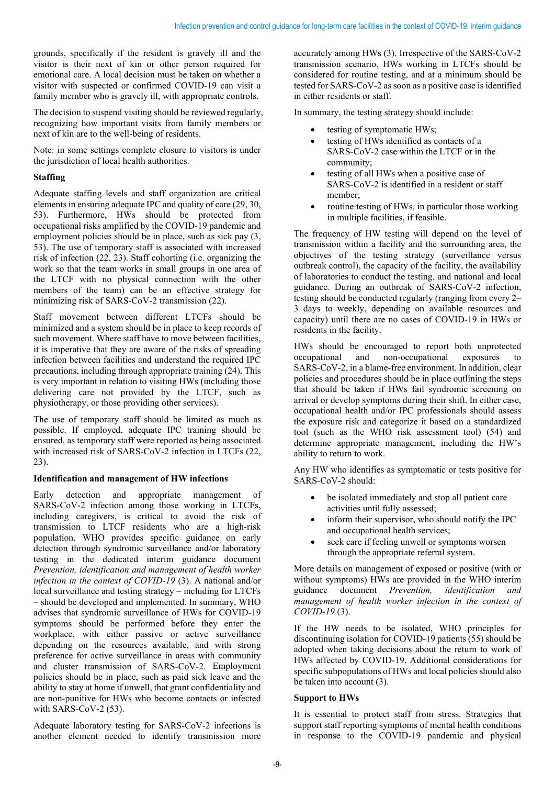grounds, specifically if the resident is gravely ill and the visitor is their next of kin or other person required for emotional care. A local decision must be taken on whether a visitor with suspected or confirmed COVID-19 can visit a family member who is gravely ill, with appropriate controls.

The decision to suspend visiting should be reviewed regularly, recognizing how important visits from family members or next of kin are to the well-being of residents.

Note: in some settings complete closure to visitors is under the jurisdiction of local health authorities.

#### **Staffing**

Adequate staffing levels and staff organization are critical elements in ensuring adequate IPC and quality of care (29, 30, 53[\).](https://apps.who.int/iris/handle/10665/330080) Furthermore, HWs should be protected from occupational risks amplified by the COVID-19 pandemic and employment policies should be in place, such as sick pay (3, 53). The use of temporary staff is associated with increased risk of infection (22, 23). Staff cohorting (i.e. organizing the work so that the team works in small groups in one area of the LTCF with no physical connection with the other members of the team) can be an effective strategy for minimizing risk of SARS-CoV-2 transmission (22).

Staff movement between different LTCFs should be minimized and a system should be in place to keep records of such movement. Where staff have to move between facilities, it is imperative that they are aware of the risks of spreading infection between facilities and understand the required IPC precautions, including through appropriate training (24). This is very important in relation to visiting HWs (including those delivering care not provided by the LTCF, such as physiotherapy, or those providing other services).

The use of temporary staff should be limited as much as possible. If employed, adequate IPC training should be ensured, as temporary staff were reported as being associated with increased risk of SARS-CoV-2 infection in LTCFs (22, 23).

#### **Identification and management of HW infections**

Early detection and appropriate management of SARS-CoV-2 infection among those working in LTCFs, including caregivers, is critical to avoid the risk of transmission to LTCF residents who are a high-risk population. WHO provides specific guidance on early detection through syndromic surveillance and/or laboratory testing in the dedicated interim guidance document *Prevention, identification and management of health worker infection in the context of COVID-19* (3). A national and/or local surveillance and testing strategy – including for LTCFs – should be developed and implemented. In summary, WHO advises that syndromic surveillance of HWs for COVID-19 symptoms should be performed before they enter the workplace, with either passive or active surveillance depending on the resources available, and with strong preference for active surveillance in areas with community and cluster transmission of SARS-CoV-2. Employment policies should be in place, such as paid sick leave and the ability to stay at home if unwell, that grant confidentiality and are non-punitive for HWs who become contacts or infected with SARS-CoV-2 (53).

Adequate laboratory testing for SARS-CoV-2 infections is another element needed to identify transmission more

accurately among HWs (3). Irrespective of the SARS-CoV-2 transmission scenario, HWs working in LTCFs should be considered for routine testing, and at a minimum should be tested for SARS-CoV-2 as soon as a positive case is identified in either residents or staff.

In summary, the testing strategy should include:

- testing of symptomatic HWs;
- testing of HWs identified as contacts of a SARS-CoV-2 case within the LTCF or in the community;
- testing of all HWs when a positive case of SARS-CoV-2 is identified in a resident or staff member;
- routine testing of HWs, in particular those working in multiple facilities, if feasible.

The frequency of HW testing will depend on the level of transmission within a facility and the surrounding area, the objectives of the testing strategy (surveillance versus outbreak control), the capacity of the facility, the availability of laboratories to conduct the testing, and national and local guidance. During an outbreak of SARS-CoV-2 infection, testing should be conducted regularly (ranging from every 2– 3 days to weekly, depending on available resources and capacity) until there are no cases of COVID-19 in HWs or residents in the facility.

HWs should be encouraged to report both unprotected occupational and non-occupational exposures to SARS-CoV-2, in a blame-free environment. In addition, clear policies and procedures should be in place outlining the steps that should be taken if HWs fail syndromic screening on arrival or develop symptoms during their shift. In either case, occupational health and/or IPC professionals should assess the exposure risk and categorize it based on a standardized tool (such as the WHO risk assessment tool) (54) and determine appropriate management, including the HW's ability to return to work.

Any HW who identifies as symptomatic or tests positive for SARS-CoV-2 should:

- be isolated immediately and stop all patient care activities until fully assessed;
- inform their supervisor, who should notify the IPC and occupational health services;
- seek care if feeling unwell or symptoms worsen through the appropriate referral system.

More details on management of exposed or positive (with or without symptoms) HWs are provided in the WHO interim guidance document *Prevention, identification and management of health worker infection in the context of COVID-19* (3).

If the HW needs to be isolated, WHO principles for discontinuing isolation for COVID-19 patients (55) should be adopted when taking decisions about the return to work of HWs affected by COVID-19. Additional considerations for specific subpopulations of HWs and local policies should also be taken into account (3).

#### **Support to HWs**

It is essential to protect staff from stress. Strategies that support staff reporting symptoms of mental health conditions in response to the COVID-19 pandemic and physical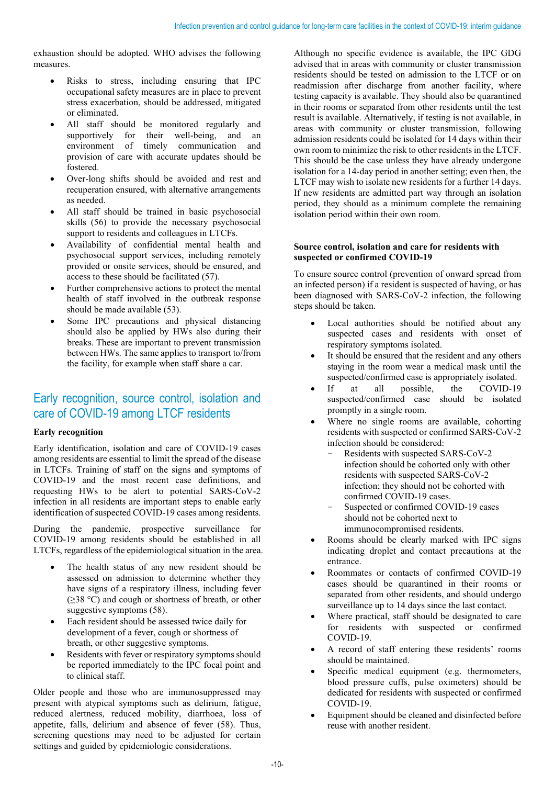exhaustion should be adopted. WHO advises the following measures.

- Risks to stress, including ensuring that IPC occupational safety measures are in place to prevent stress exacerbation, should be addressed, mitigated or eliminated.
- All staff should be monitored regularly and supportively for their well-being, and an environment of timely communication and provision of care with accurate updates should be fostered.
- Over-long shifts should be avoided and rest and recuperation ensured, with alternative arrangements as needed.
- All staff should be trained in basic psychosocial skills (56) to provide the necessary psychosocial support to residents and colleagues in LTCFs.
- Availability of confidential mental health and psychosocial support services, including remotely provided or onsite services, should be ensured, and access to these should be facilitated (57).
- Further comprehensive actions to protect the mental health of staff involved in the outbreak response should be made available (53).
- Some IPC precautions and physical distancing should also be applied by HWs also during their breaks. These are important to prevent transmission between HWs. The same applies to transport to/from the facility, for example when staff share a car.

## Early recognition, source control, isolation and care of COVID-19 among LTCF residents

#### **Early recognition**

Early identification, isolation and care of COVID-19 cases among residents are essential to limit the spread of the disease in LTCFs. Training of staff on the signs and symptoms of COVID-19 and the most recent case definitions, and requesting HWs to be alert to potential SARS-CoV-2 infection in all residents are important steps to enable early identification of suspected COVID-19 cases among residents.

During the pandemic, prospective surveillance for COVID-19 among residents should be established in all LTCFs, regardless of the epidemiological situation in the area.

- The health status of any new resident should be assessed on admission to determine whether they have signs of a respiratory illness, including fever (≥38 °C) and cough or shortness of breath, or other suggestive symptoms (58).
- Each resident should be assessed twice daily for development of a fever, cough or shortness of breath, or other suggestive symptoms.
- Residents with fever or respiratory symptoms should be reported immediately to the IPC focal point and to clinical staff.

Older people and those who are immunosuppressed may present with atypical symptoms such as delirium, fatigue, reduced alertness, reduced mobility, diarrhoea, loss of appetite, falls, delirium and absence of fever (58). Thus, screening questions may need to be adjusted for certain settings and guided by epidemiologic considerations.

Although no specific evidence is available, the IPC GDG advised that in areas with community or cluster transmission residents should be tested on admission to the LTCF or on readmission after discharge from another facility, where testing capacity is available. They should also be quarantined in their rooms or separated from other residents until the test result is available. Alternatively, if testing is not available, in areas with community or cluster transmission, following admission residents could be isolated for 14 days within their own room to minimize the risk to other residents in the LTCF. This should be the case unless they have already undergone isolation for a 14-day period in another setting; even then, the LTCF may wish to isolate new residents for a further 14 days. If new residents are admitted part way through an isolation period, they should as a minimum complete the remaining isolation period within their own room.

#### **Source control, isolation and care for residents with suspected or confirmed COVID-19**

To ensure source control (prevention of onward spread from an infected person) if a resident is suspected of having, or has been diagnosed with SARS-CoV-2 infection, the following steps should be taken.

- Local authorities should be notified about any suspected cases and residents with onset of respiratory symptoms isolated.
- It should be ensured that the resident and any others staying in the room wear a medical mask until the suspected/confirmed case is appropriately isolated.
- If at all possible, the COVID-19 suspected/confirmed case should be isolated promptly in a single room.
- Where no single rooms are available, cohorting residents with suspected or confirmed SARS-CoV-2 infection should be considered:
	- Residents with suspected SARS-CoV-2 infection should be cohorted only with other residents with suspected SARS-CoV-2 infection; they should not be cohorted with confirmed COVID-19 cases.
	- Suspected or confirmed COVID-19 cases should not be cohorted next to immunocompromised residents.
- Rooms should be clearly marked with IPC signs indicating droplet and contact precautions at the entrance.
- Roommates or contacts of confirmed COVID-19 cases should be quarantined in their rooms or separated from other residents, and should undergo surveillance up to 14 days since the last contact.
- Where practical, staff should be designated to care for residents with suspected or confirmed COVID-19.
- A record of staff entering these residents' rooms should be maintained.
- Specific medical equipment (e.g. thermometers, blood pressure cuffs, pulse oximeters) should be dedicated for residents with suspected or confirmed COVID-19.
- Equipment should be cleaned and disinfected before reuse with another resident.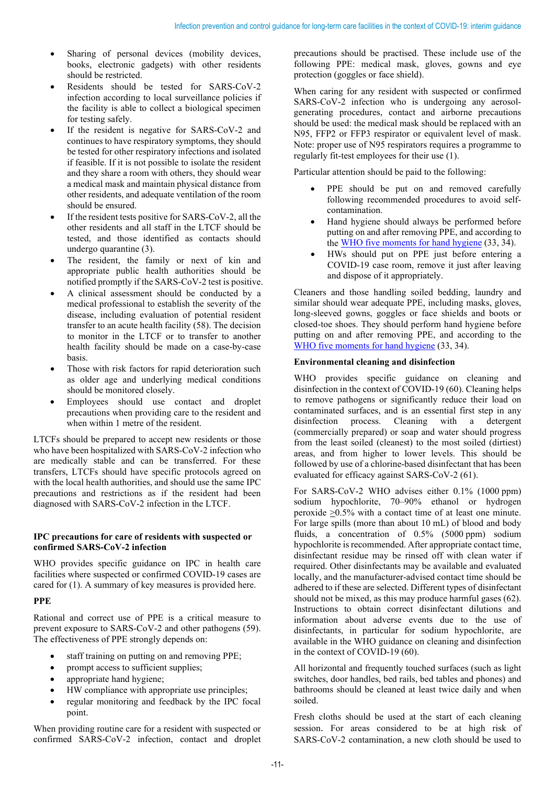- Sharing of personal devices (mobility devices, books, electronic gadgets) with other residents should be restricted.
- Residents should be tested for SARS-CoV-2 infection according to local surveillance policies if the facility is able to collect a biological specimen for testing safely.
- If the resident is negative for SARS-CoV-2 and continues to have respiratory symptoms, they should be tested for other respiratory infections and isolated if feasible. If it is not possible to isolate the resident and they share a room with others, they should wear a medical mask and maintain physical distance from other residents, and adequate ventilation of the room should be ensured.
- If the resident tests positive for SARS-CoV-2, all the other residents and all staff in the LTCF should be tested, and those identified as contacts should undergo quarantine (3).
- The resident, the family or next of kin and appropriate public health authorities should be notified promptly if the SARS-CoV-2 test is positive.
- A clinical assessment should be conducted by a medical professional to establish the severity of the disease, including evaluation of potential resident transfer to an acute health facility (58). The decision to monitor in the LTCF or to transfer to another health facility should be made on a case-by-case basis.
- Those with risk factors for rapid deterioration such as older age and underlying medical conditions should be monitored closely.
- Employees should use contact and droplet precautions when providing care to the resident and when within 1 metre of the resident.

LTCFs should be prepared to accept new residents or those who have been hospitalized with SARS-CoV-2 infection who are medically stable and can be transferred. For these transfers, LTCFs should have specific protocols agreed on with the local health authorities, and should use the same IPC precautions and restrictions as if the resident had been diagnosed with SARS-CoV-2 infection in the LTCF.

#### **IPC precautions for care of residents with suspected or confirmed SARS-CoV-2 infection**

WHO provides specific guidance on IPC in health care facilities where suspected or confirmed COVID-19 cases are cared for (1). A summary of key measures is provided here.

#### **PPE**

Rational and correct use of PPE is a critical measure to prevent exposure to SARS-CoV-2 and other pathogens (59). The effectiveness of PPE strongly depends on:

- staff training on putting on and removing PPE;
- prompt access to sufficient supplies;
- appropriate hand hygiene;
- HW compliance with appropriate use principles;
- regular monitoring and feedback by the IPC focal point.

When providing routine care for a resident with suspected or confirmed SARS-CoV-2 infection, contact and droplet

precautions should be practised. These include use of the following PPE: medical mask, gloves, gowns and eye protection (goggles or face shield).

When caring for any resident with suspected or confirmed SARS-CoV-2 infection who is undergoing any aerosolgenerating procedures, contact and airborne precautions should be used: the medical mask should be replaced with an N95, FFP2 or FFP3 respirator or equivalent level of mask. Note: proper use of N95 respirators requires a programme to regularly fit-test employees for their use (1).

Particular attention should be paid to the following:

- PPE should be put on and removed carefully following recommended procedures to avoid selfcontamination.
- Hand hygiene should always be performed before putting on and after removing PPE, and according to the WHO five [moments for hand hygiene](https://www.who.int/docs/default-source/infection-prevention-and-control/your-5-moments-for-hand-hygiene-poster.pdf?sfvrsn=83e2fb0e_2) (33, 34).
- HWs should put on PPE just before entering a COVID-19 case room, remove it just after leaving and dispose of it appropriately.

Cleaners and those handling soiled bedding, laundry and similar should wear adequate PPE, including masks, gloves, long-sleeved gowns, goggles or face shields and boots or closed-toe shoes. They should perform hand hygiene before putting on and after removing PPE, and according to the WHO five [moments for hand hygiene](https://www.who.int/docs/default-source/infection-prevention-and-control/your-5-moments-for-hand-hygiene-poster.pdf?sfvrsn=83e2fb0e_2) (33, 34).

#### **Environmental cleaning and disinfection**

WHO provides specific guidance on cleaning and disinfection in the context of COVID-19 (60). Cleaning helps to remove pathogens or significantly reduce their load on contaminated surfaces, and is an essential first step in any disinfection process. Cleaning with a detergent (commercially prepared) or soap and water should progress from the least soiled (cleanest) to the most soiled (dirtiest) areas, and from higher to lower levels. This should be followed by use of a chlorine-based disinfectant that has been evaluated for efficacy against SARS-CoV-2 (61).

For SARS-CoV-2 WHO advises either 0.1% (1000 ppm) sodium hypochlorite, 70–90% ethanol or hydrogen peroxide >0.5% with a contact time of at least one minute. For large spills (more than about 10 mL) of blood and body fluids, a concentration of 0.5% (5000 ppm) sodium hypochlorite is recommended. After appropriate contact time, disinfectant residue may be rinsed off with clean water if required. Other disinfectants may be available and evaluated locally, and the manufacturer-advised contact time should be adhered to if these are selected. Different types of disinfectant should not be mixed, as this may produce harmful gases (62). Instructions to obtain correct disinfectant dilutions and information about adverse events due to the use of disinfectants, in particular for sodium hypochlorite, are available in the WHO guidance on cleaning and disinfection in the context of COVID-19 (60).

All horizontal and frequently touched surfaces (such as light switches, door handles, bed rails, bed tables and phones) and bathrooms should be cleaned at least twice daily and when soiled.

Fresh cloths should be used at the start of each cleaning session. For areas considered to be at high risk of SARS-CoV-2 contamination, a new cloth should be used to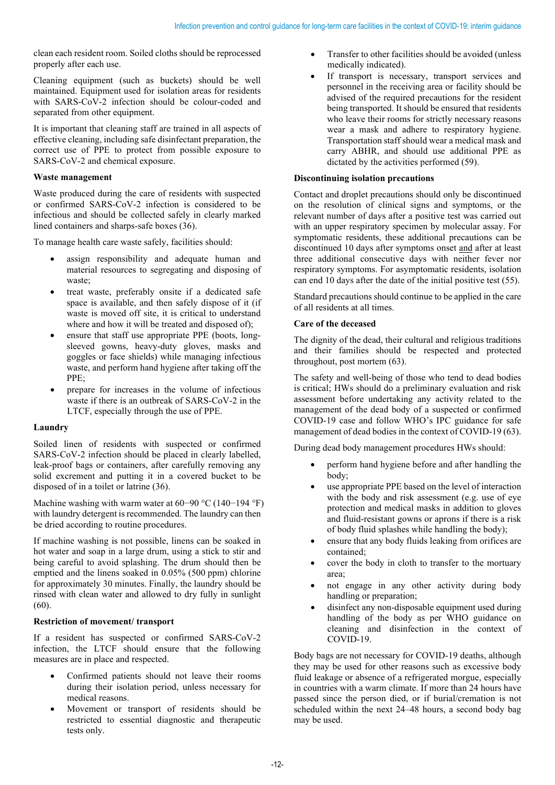clean each resident room. Soiled cloths should be reprocessed properly after each use.

Cleaning equipment (such as buckets) should be well maintained. Equipment used for isolation areas for residents with SARS-CoV-2 infection should be colour-coded and separated from other equipment.

It is important that cleaning staff are trained in all aspects of effective cleaning, including safe disinfectant preparation, the correct use of PPE to protect from possible exposure to SARS-CoV-2 and chemical exposure.

#### **Waste management**

Waste produced during the care of residents with suspected or confirmed SARS-CoV-2 infection is considered to be infectious and should be collected safely in clearly marked lined containers and sharps-safe boxes (36).

To manage health care waste safely, facilities should:

- assign responsibility and adequate human and material resources to segregating and disposing of waste;
- treat waste, preferably onsite if a dedicated safe space is available, and then safely dispose of it (if waste is moved off site, it is critical to understand where and how it will be treated and disposed of);
- ensure that staff use appropriate PPE (boots, longsleeved gowns, heavy-duty gloves, masks and goggles or face shields) while managing infectious waste, and perform hand hygiene after taking off the PPE;
- prepare for increases in the volume of infectious waste if there is an outbreak of SARS-CoV-2 in the LTCF, especially through the use of PPE.

#### **Laundry**

Soiled linen of residents with suspected or confirmed SARS-CoV-2 infection should be placed in clearly labelled, leak-proof bags or containers, after carefully removing any solid excrement and putting it in a covered bucket to be disposed of in a toilet or latrine (36).

Machine washing with warm water at 60−90 °C (140−194 °F) with laundry detergent is recommended. The laundry can then be dried according to routine procedures.

If machine washing is not possible, linens can be soaked in hot water and soap in a large drum, using a stick to stir and being careful to avoid splashing. The drum should then be emptied and the linens soaked in 0.05% (500 ppm) chlorine for approximately 30 minutes. Finally, the laundry should be rinsed with clean water and allowed to dry fully in sunlight (60).

#### **Restriction of movement/ transport**

If a resident has suspected or confirmed SARS-CoV-2 infection, the LTCF should ensure that the following measures are in place and respected.

- Confirmed patients should not leave their rooms during their isolation period, unless necessary for medical reasons.
- Movement or transport of residents should be restricted to essential diagnostic and therapeutic tests only.
- Transfer to other facilities should be avoided (unless medically indicated).
- If transport is necessary, transport services and personnel in the receiving area or facility should be advised of the required precautions for the resident being transported. It should be ensured that residents who leave their rooms for strictly necessary reasons wear a mask and adhere to respiratory hygiene. Transportation staff should wear a medical mask and carry ABHR, and should use additional PPE as dictated by the activities performed (59).

### **Discontinuing isolation precautions**

Contact and droplet precautions should only be discontinued on the resolution of clinical signs and symptoms, or the relevant number of days after a positive test was carried out with an upper respiratory specimen by molecular assay. For symptomatic residents, these additional precautions can be discontinued 10 days after symptoms onset and after at least three additional consecutive days with neither fever nor respiratory symptoms. For asymptomatic residents, isolation can end 10 days after the date of the initial positive test (55).

Standard precautions should continue to be applied in the care of all residents at all times.

#### **Care of the deceased**

The dignity of the dead, their cultural and religious traditions and their families should be respected and protected throughout, post mortem (63).

The safety and well-being of those who tend to dead bodies is critical; HWs should do a preliminary evaluation and risk assessment before undertaking any activity related to the management of the dead body of a suspected or confirmed COVID-19 case and follow WHO's IPC guidance for safe management of dead bodies in the context of COVID-19 (63).

During dead body management procedures HWs should:

- perform hand hygiene before and after handling the body;
- use appropriate PPE based on the level of interaction with the body and risk assessment (e.g. use of eye protection and medical masks in addition to gloves and fluid-resistant gowns or aprons if there is a risk of body fluid splashes while handling the body);
- ensure that any body fluids leaking from orifices are contained;
- cover the body in cloth to transfer to the mortuary area;
- not engage in any other activity during body handling or preparation;
- disinfect any non-disposable equipment used during handling of the body as per WHO guidance on cleaning and disinfection in the context of COVID-19.

Body bags are not necessary for COVID-19 deaths, although they may be used for other reasons such as excessive body fluid leakage or absence of a refrigerated morgue, especially in countries with a warm climate. If more than 24 hours have passed since the person died, or if burial/cremation is not scheduled within the next 24–48 hours, a second body bag may be used.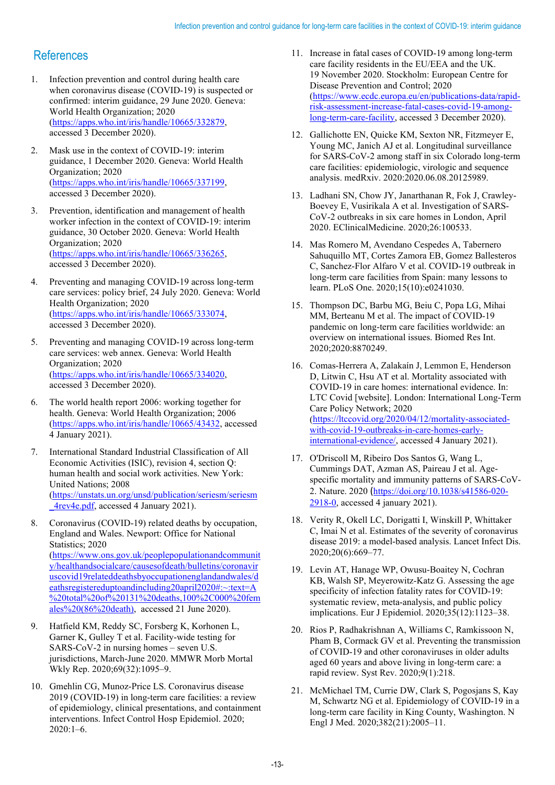## **References**

- 1. Infection prevention and control during health care when coronavirus disease (COVID-19) is suspected or confirmed: interim guidance, 29 June 2020. Geneva: World Health Organization; 2020 [\(https://apps.who.int/iris/handle/10665/332879,](https://apps.who.int/iris/handle/10665/332879) accessed 3 December 2020).
- 2. Mask use in the context of COVID-19: interim guidance, 1 December 2020. Geneva: World Health Organization; 2020 [\(https://apps.who.int/iris/handle/10665/337199,](https://apps.who.int/iris/handle/10665/337199) accessed 3 December 2020).
- 3. Prevention, identification and management of health worker infection in the context of COVID-19: interim guidance, 30 October 2020. Geneva: World Health Organization; 2020 [\(https://apps.who.int/iris/handle/10665/336265,](https://apps.who.int/iris/handle/10665/336265) accessed 3 December 2020).
- 4. Preventing and managing COVID-19 across long-term care services: policy brief, 24 July 2020. Geneva: World Health Organization; 2020 [\(https://apps.who.int/iris/handle/10665/333074,](https://apps.who.int/iris/handle/10665/333074) accessed 3 December 2020).
- 5. Preventing and managing COVID-19 across long-term care services: web annex. Geneva: World Health Organization; 2020 [\(https://apps.who.int/iris/handle/10665/334020,](https://apps.who.int/iris/handle/10665/334020) accessed 3 December 2020).
- 6. The world health report 2006: working together for health. Geneva: World Health Organization; 2006 [\(https://apps.who.int/iris/handle/10665/43432,](https://apps.who.int/iris/handle/10665/43432) accessed 4 January 2021).
- 7. International Standard Industrial Classification of All Economic Activities (ISIC), revision 4, section Q: human health and social work activities. New York: United Nations; 2008 [\(https://unstats.un.org/unsd/publication/seriesm/seriesm](https://unstats.un.org/unsd/publication/seriesm/seriesm_4rev4e.pdf) [\\_4rev4e.pdf,](https://unstats.un.org/unsd/publication/seriesm/seriesm_4rev4e.pdf) accessed 4 January 2021).
- 8. Coronavirus (COVID-19) related deaths by occupation, England and Wales. Newport: Office for National Statistics; 2020 [\(https://www.ons.gov.uk/peoplepopulationandcommunit](https://www.ons.gov.uk/peoplepopulationandcommunity/healthandsocialcare/causesofdeath/bulletins/coronaviruscovid19relateddeathsbyoccupationenglandandwales/deathsregistereduptoandincluding20april2020#:%7E:text=A%20total%20of%20131%20deaths,100%2C000%20females%20(86%20death)) [y/healthandsocialcare/causesofdeath/bulletins/coronavir](https://www.ons.gov.uk/peoplepopulationandcommunity/healthandsocialcare/causesofdeath/bulletins/coronaviruscovid19relateddeathsbyoccupationenglandandwales/deathsregistereduptoandincluding20april2020#:%7E:text=A%20total%20of%20131%20deaths,100%2C000%20females%20(86%20death)) [uscovid19relateddeathsbyoccupationenglandandwales/d](https://www.ons.gov.uk/peoplepopulationandcommunity/healthandsocialcare/causesofdeath/bulletins/coronaviruscovid19relateddeathsbyoccupationenglandandwales/deathsregistereduptoandincluding20april2020#:%7E:text=A%20total%20of%20131%20deaths,100%2C000%20females%20(86%20death)) [eathsregistereduptoandincluding20april2020#:~:text=A](https://www.ons.gov.uk/peoplepopulationandcommunity/healthandsocialcare/causesofdeath/bulletins/coronaviruscovid19relateddeathsbyoccupationenglandandwales/deathsregistereduptoandincluding20april2020#:%7E:text=A%20total%20of%20131%20deaths,100%2C000%20females%20(86%20death)) [%20total%20of%20131%20deaths,100%2C000%20fem](https://www.ons.gov.uk/peoplepopulationandcommunity/healthandsocialcare/causesofdeath/bulletins/coronaviruscovid19relateddeathsbyoccupationenglandandwales/deathsregistereduptoandincluding20april2020#:%7E:text=A%20total%20of%20131%20deaths,100%2C000%20females%20(86%20death)) [ales%20\(86%20death\),](https://www.ons.gov.uk/peoplepopulationandcommunity/healthandsocialcare/causesofdeath/bulletins/coronaviruscovid19relateddeathsbyoccupationenglandandwales/deathsregistereduptoandincluding20april2020#:%7E:text=A%20total%20of%20131%20deaths,100%2C000%20females%20(86%20death)) accessed 21 June 2020).
- 9. Hatfield KM, Reddy SC, Forsberg K, Korhonen L, Garner K, Gulley T et al. Facility-wide testing for SARS-CoV-2 in nursing homes – seven U.S. jurisdictions, March-June 2020. MMWR Morb Mortal Wkly Rep. 2020;69(32):1095–9.
- 10. Gmehlin CG, Munoz-Price LS. Coronavirus disease 2019 (COVID-19) in long-term care facilities: a review of epidemiology, clinical presentations, and containment interventions. Infect Control Hosp Epidemiol. 2020; 2020:1–6.
- 11. Increase in fatal cases of COVID-19 among long-term care facility residents in the EU/EEA and the UK. 19 November 2020. Stockholm: European Centre for Disease Prevention and Control; 2020 [\(https://www.ecdc.europa.eu/en/publications-data/rapid](https://www.ecdc.europa.eu/en/publications-data/rapid-risk-assessment-increase-fatal-cases-covid-19-among-long-term-care-facility)[risk-assessment-increase-fatal-cases-covid-19-among](https://www.ecdc.europa.eu/en/publications-data/rapid-risk-assessment-increase-fatal-cases-covid-19-among-long-term-care-facility)[long-term-care-facility,](https://www.ecdc.europa.eu/en/publications-data/rapid-risk-assessment-increase-fatal-cases-covid-19-among-long-term-care-facility) accessed 3 December 2020).
- 12. Gallichotte EN, Quicke KM, Sexton NR, Fitzmeyer E, Young MC, Janich AJ et al. Longitudinal surveillance for SARS-CoV-2 among staff in six Colorado long-term care facilities: epidemiologic, virologic and sequence analysis. medRxiv. 2020:2020.06.08.20125989.
- 13. Ladhani SN, Chow JY, Janarthanan R, Fok J, Crawley-Boevey E, Vusirikala A et al. Investigation of SARS-CoV-2 outbreaks in six care homes in London, April 2020. EClinicalMedicine. 2020;26:100533.
- 14. Mas Romero M, Avendano Cespedes A, Tabernero Sahuquillo MT, Cortes Zamora EB, Gomez Ballesteros C, Sanchez-Flor Alfaro V et al. COVID-19 outbreak in long-term care facilities from Spain: many lessons to learn. PLoS One. 2020;15(10):e0241030.
- 15. Thompson DC, Barbu MG, Beiu C, Popa LG, Mihai MM, Berteanu M et al. The impact of COVID-19 pandemic on long-term care facilities worldwide: an overview on international issues. Biomed Res Int. 2020;2020:8870249.
- 16. Comas-Herrera A, Zalakaín J, Lemmon E, Henderson D, Litwin C, Hsu AT et al. Mortality associated with COVID-19 in care homes: international evidence. In: LTC Covid [website]. London: International Long-Term Care Policy Network; 2020 [\(https://ltccovid.org/2020/04/12/mortality-associated](https://ltccovid.org/2020/04/12/mortality-associated-with-covid-19-outbreaks-in-care-homes-early-international-evidence/)[with-covid-19-outbreaks-in-care-homes-early](https://ltccovid.org/2020/04/12/mortality-associated-with-covid-19-outbreaks-in-care-homes-early-international-evidence/)[international-evidence/,](https://ltccovid.org/2020/04/12/mortality-associated-with-covid-19-outbreaks-in-care-homes-early-international-evidence/) accessed 4 January 2021).
- 17. O'Driscoll M, Ribeiro Dos Santos G, Wang L, Cummings DAT, Azman AS, Paireau J et al. Agespecific mortality and immunity patterns of SARS-CoV-2. Nature. 2020 ([https://doi.org/10.1038/s41586-020-](https://doi.org/10.1038/s41586-020-2918-0) [2918-0,](https://doi.org/10.1038/s41586-020-2918-0) accessed 4 january 2021).
- 18. Verity R, Okell LC, Dorigatti I, Winskill P, Whittaker C, Imai N et al. Estimates of the severity of coronavirus disease 2019: a model-based analysis. Lancet Infect Dis. 2020;20(6):669–77.
- 19. Levin AT, Hanage WP, Owusu-Boaitey N, Cochran KB, Walsh SP, Meyerowitz-Katz G. Assessing the age specificity of infection fatality rates for COVID-19: systematic review, meta-analysis, and public policy implications. Eur J Epidemiol. 2020;35(12):1123–38.
- 20. Rios P, Radhakrishnan A, Williams C, Ramkissoon N, Pham B, Cormack GV et al. Preventing the transmission of COVID-19 and other coronaviruses in older adults aged 60 years and above living in long-term care: a rapid review. Syst Rev. 2020;9(1):218.
- 21. McMichael TM, Currie DW, Clark S, Pogosjans S, Kay M, Schwartz NG et al. Epidemiology of COVID-19 in a long-term care facility in King County, Washington. N Engl J Med. 2020;382(21):2005–11.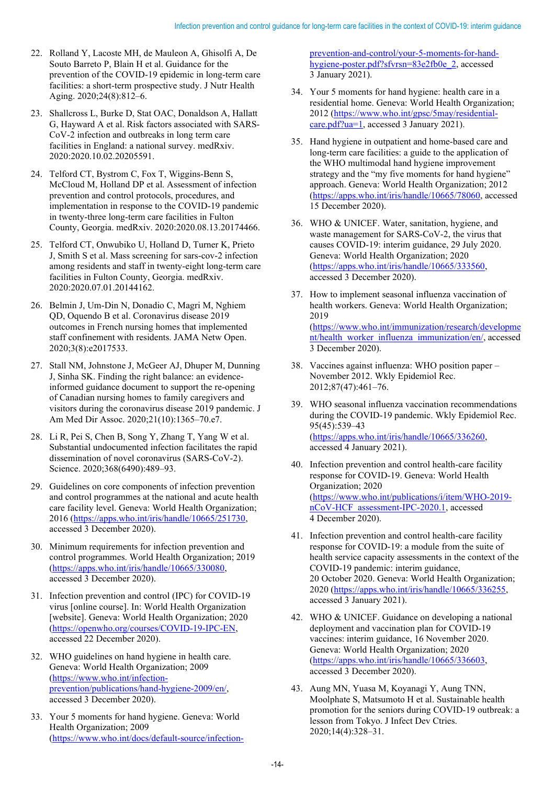- 22. Rolland Y, Lacoste MH, de Mauleon A, Ghisolfi A, De Souto Barreto P, Blain H et al. Guidance for the prevention of the COVID-19 epidemic in long-term care facilities: a short-term prospective study. J Nutr Health Aging. 2020;24(8):812–6.
- 23. Shallcross L, Burke D, Stat OAC, Donaldson A, Hallatt G, Hayward A et al. Risk factors associated with SARS-CoV-2 infection and outbreaks in long term care facilities in England: a national survey. medRxiv. 2020:2020.10.02.20205591.
- 24. Telford CT, Bystrom C, Fox T, Wiggins-Benn S, McCloud M, Holland DP et al. Assessment of infection prevention and control protocols, procedures, and implementation in response to the COVID-19 pandemic in twenty-three long-term care facilities in Fulton County, Georgia. medRxiv. 2020:2020.08.13.20174466.
- 25. Telford CT, Onwubiko U, Holland D, Turner K, Prieto J, Smith S et al. Mass screening for sars-cov-2 infection among residents and staff in twenty-eight long-term care facilities in Fulton County, Georgia. medRxiv. 2020:2020.07.01.20144162.
- 26. Belmin J, Um-Din N, Donadio C, Magri M, Nghiem QD, Oquendo B et al. Coronavirus disease 2019 outcomes in French nursing homes that implemented staff confinement with residents. JAMA Netw Open. 2020;3(8):e2017533.
- 27. Stall NM, Johnstone J, McGeer AJ, Dhuper M, Dunning J, Sinha SK. Finding the right balance: an evidenceinformed guidance document to support the re-opening of Canadian nursing homes to family caregivers and visitors during the coronavirus disease 2019 pandemic. J Am Med Dir Assoc. 2020;21(10):1365–70.e7.
- 28. Li R, Pei S, Chen B, Song Y, Zhang T, Yang W et al. Substantial undocumented infection facilitates the rapid dissemination of novel coronavirus (SARS-CoV-2). Science. 2020;368(6490):489–93.
- 29. Guidelines on core components of infection prevention and control programmes at the national and acute health care facility level. Geneva: World Health Organization; 2016 [\(https://apps.who.int/iris/handle/10665/251730,](https://apps.who.int/iris/handle/10665/251730)  accessed 3 December 2020).
- 30. Minimum requirements for infection prevention and control programmes. World Health Organization; 2019 [\(https://apps.who.int/iris/handle/10665/330080,](https://apps.who.int/iris/handle/10665/330080) accessed 3 December 2020).
- 31. Infection prevention and control (IPC) for COVID-19 virus [online course]. In: World Health Organization [website]. Geneva: World Health Organization; 2020 [\(https://openwho.org/courses/COVID-19-IPC-EN,](https://openwho.org/courses/COVID-19-IPC-EN) accessed 22 December 2020).
- 32. WHO guidelines on hand hygiene in health care. Geneva: World Health Organization; 2009 [\(https://www.who.int/infection](https://www.who.int/infection-prevention/publications/hand-hygiene-2009/en/)[prevention/publications/hand-hygiene-2009/en/,](https://www.who.int/infection-prevention/publications/hand-hygiene-2009/en/) accessed 3 December 2020).
- 33. Your 5 moments for hand hygiene. Geneva: World Health Organization; 2009 [\(https://www.who.int/docs/default-source/infection-](https://www.who.int/docs/default-source/infection-prevention-and-control/your-5-moments-for-hand-hygiene-poster.pdf?sfvrsn=83e2fb0e_2)

[prevention-and-control/your-5-moments-for-hand](https://www.who.int/docs/default-source/infection-prevention-and-control/your-5-moments-for-hand-hygiene-poster.pdf?sfvrsn=83e2fb0e_2)[hygiene-poster.pdf?sfvrsn=83e2fb0e\\_2,](https://www.who.int/docs/default-source/infection-prevention-and-control/your-5-moments-for-hand-hygiene-poster.pdf?sfvrsn=83e2fb0e_2) accessed 3 January 2021).

- 34. Your 5 moments for hand hygiene: health care in a residential home. Geneva: World Health Organization; 2012 [\(https://www.who.int/gpsc/5may/residential](https://www.who.int/gpsc/5may/residential-care.pdf?ua=1)[care.pdf?ua=1,](https://www.who.int/gpsc/5may/residential-care.pdf?ua=1) accessed 3 January 2021).
- 35. Hand hygiene in outpatient and home-based care and long-term care facilities: a guide to the application of the WHO multimodal hand hygiene improvement strategy and the "my five moments for hand hygiene" approach. Geneva: World Health Organization; 2012 [\(https://apps.who.int/iris/handle/10665/78060,](https://apps.who.int/iris/handle/10665/78060) accessed 15 December 2020).
- 36. WHO & UNICEF. Water, sanitation, hygiene, and waste management for SARS-CoV-2, the virus that causes COVID-19: interim guidance, 29 July 2020. Geneva: World Health Organization; 2020 [\(https://apps.who.int/iris/handle/10665/333560,](https://apps.who.int/iris/handle/10665/333560) accessed 3 December 2020).
- 37. How to implement seasonal influenza vaccination of health workers. Geneva: World Health Organization; 2019 [\(https://www.who.int/immunization/research/developme](https://www.who.int/immunization/research/development/health_worker_influenza_immunization/en/) [nt/health\\_worker\\_influenza\\_immunization/en/,](https://www.who.int/immunization/research/development/health_worker_influenza_immunization/en/) accessed 3 December 2020).
- 38. Vaccines against influenza: WHO position paper November 2012. Wkly Epidemiol Rec. 2012;87(47):461–76.
- 39. WHO seasonal influenza vaccination recommendations during the COVID-19 pandemic. Wkly Epidemiol Rec. 95(45):539–43 [\(https://apps.who.int/iris/handle/10665/336260,](https://apps.who.int/iris/handle/10665/336260) accessed 4 January 2021).
- 40. Infection prevention and control health-care facility response for COVID-19. Geneva: World Health Organization; 2020 [\(https://www.who.int/publications/i/item/WHO-2019](https://www.who.int/publications/i/item/WHO-2019-nCoV-HCF_assessment-IPC-2020.1) [nCoV-HCF\\_assessment-IPC-2020.1,](https://www.who.int/publications/i/item/WHO-2019-nCoV-HCF_assessment-IPC-2020.1) accessed 4 December 2020).
- 41. Infection prevention and control health-care facility response for COVID-19: a module from the suite of health service capacity assessments in the context of the COVID-19 pandemic: interim guidance, 20 October 2020. Geneva: World Health Organization; 2020 [\(https://apps.who.int/iris/handle/10665/336255,](https://apps.who.int/iris/handle/10665/336255) accessed 3 January 2021).
- 42. WHO & UNICEF. Guidance on developing a national deployment and vaccination plan for COVID-19 vaccines: interim guidance, 16 November 2020. Geneva: World Health Organization; 2020 [\(https://apps.who.int/iris/handle/10665/336603,](https://apps.who.int/iris/handle/10665/336603) accessed 3 December 2020).
- 43. Aung MN, Yuasa M, Koyanagi Y, Aung TNN, Moolphate S, Matsumoto H et al. Sustainable health promotion for the seniors during COVID-19 outbreak: a lesson from Tokyo. J Infect Dev Ctries. 2020;14(4):328–31.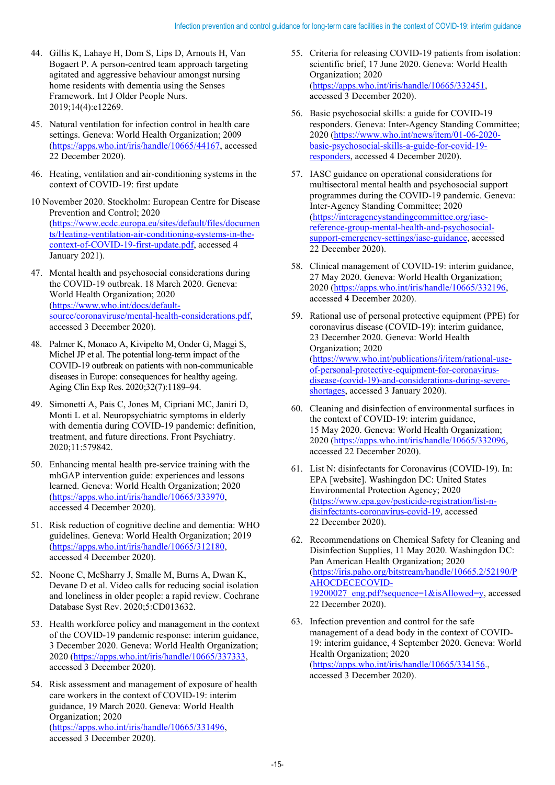- 44. Gillis K, Lahaye H, Dom S, Lips D, Arnouts H, Van Bogaert P. A person-centred team approach targeting agitated and aggressive behaviour amongst nursing home residents with dementia using the Senses Framework. Int J Older People Nurs. 2019;14(4):e12269.
- 45. Natural ventilation for infection control in health care settings. Geneva: World Health Organization; 2009 [\(https://apps.who.int/iris/handle/10665/44167,](https://apps.who.int/iris/handle/10665/44167) accessed 22 December 2020).
- 46. Heating, ventilation and air-conditioning systems in the context of COVID-19: first update
- 10 November 2020. Stockholm: European Centre for Disease Prevention and Control; 2020 [\(https://www.ecdc.europa.eu/sites/default/files/documen](https://www.ecdc.europa.eu/sites/default/files/documents/Heating-ventilation-air-conditioning-systems-in-the-context-of-COVID-19-first-update.pdf) [ts/Heating-ventilation-air-conditioning-systems-in-the](https://www.ecdc.europa.eu/sites/default/files/documents/Heating-ventilation-air-conditioning-systems-in-the-context-of-COVID-19-first-update.pdf)[context-of-COVID-19-first-update.pdf,](https://www.ecdc.europa.eu/sites/default/files/documents/Heating-ventilation-air-conditioning-systems-in-the-context-of-COVID-19-first-update.pdf) accessed 4 January 2021).
- 47. Mental health and psychosocial considerations during the COVID-19 outbreak. 18 March 2020. Geneva: World Health Organization; 2020 [\(https://www.who.int/docs/default](https://www.who.int/docs/default-source/coronaviruse/mental-health-considerations.pdf)[source/coronaviruse/mental-health-considerations.pdf,](https://www.who.int/docs/default-source/coronaviruse/mental-health-considerations.pdf) accessed 3 December 2020).
- 48. Palmer K, Monaco A, Kivipelto M, Onder G, Maggi S, Michel JP et al. The potential long-term impact of the COVID-19 outbreak on patients with non-communicable diseases in Europe: consequences for healthy ageing. Aging Clin Exp Res. 2020;32(7):1189–94.
- 49. Simonetti A, Pais C, Jones M, Cipriani MC, Janiri D, Monti L et al. Neuropsychiatric symptoms in elderly with dementia during COVID-19 pandemic: definition, treatment, and future directions. Front Psychiatry. 2020;11:579842.
- 50. Enhancing mental health pre-service training with the mhGAP intervention guide: experiences and lessons learned. Geneva: World Health Organization; 2020 [\(https://apps.who.int/iris/handle/10665/333970,](https://apps.who.int/iris/handle/10665/333970) accessed 4 December 2020).
- 51. Risk reduction of cognitive decline and dementia: WHO guidelines. Geneva: World Health Organization; 2019 [\(https://apps.who.int/iris/handle/10665/312180,](https://apps.who.int/iris/handle/10665/312180) accessed 4 December 2020).
- 52. Noone C, McSharry J, Smalle M, Burns A, Dwan K, Devane D et al. Video calls for reducing social isolation and loneliness in older people: a rapid review. Cochrane Database Syst Rev. 2020;5:CD013632.
- 53. Health workforce policy and management in the context of the COVID-19 pandemic response: interim guidance, 3 December 2020. Geneva: World Health Organization; 2020 [\(https://apps.who.int/iris/handle/10665/337333,](https://apps.who.int/iris/handle/10665/337333)  accessed 3 December 2020).
- 54. Risk assessment and management of exposure of health care workers in the context of COVID-19: interim guidance, 19 March 2020. Geneva: World Health Organization; 2020 [\(https://apps.who.int/iris/handle/10665/331496,](https://apps.who.int/iris/handle/10665/331496) accessed 3 December 2020).
- 55. Criteria for releasing COVID-19 patients from isolation: scientific brief, 17 June 2020. Geneva: World Health Organization; 2020 [\(https://apps.who.int/iris/handle/10665/332451,](https://apps.who.int/iris/handle/10665/332451) accessed 3 December 2020).
- 56. Basic psychosocial skills: a guide for COVID-19 responders. Geneva: Inter-Agency Standing Committee; 2020 [\(https://www.who.int/news/item/01-06-2020](https://www.who.int/news/item/01-06-2020-basic-psychosocial-skills-a-guide-for-covid-19-responders) [basic-psychosocial-skills-a-guide-for-covid-19](https://www.who.int/news/item/01-06-2020-basic-psychosocial-skills-a-guide-for-covid-19-responders) [responders,](https://www.who.int/news/item/01-06-2020-basic-psychosocial-skills-a-guide-for-covid-19-responders) accessed 4 December 2020).
- 57. IASC guidance on operational considerations for multisectoral mental health and psychosocial support programmes during the COVID-19 pandemic. Geneva: Inter-Agency Standing Committee; 2020 [\(https://interagencystandingcommittee.org/iasc](https://interagencystandingcommittee.org/iasc-reference-group-mental-health-and-psychosocial-support-emergency-settings/iasc-guidance)[reference-group-mental-health-and-psychosocial](https://interagencystandingcommittee.org/iasc-reference-group-mental-health-and-psychosocial-support-emergency-settings/iasc-guidance)[support-emergency-settings/iasc-guidance,](https://interagencystandingcommittee.org/iasc-reference-group-mental-health-and-psychosocial-support-emergency-settings/iasc-guidance) accessed 22 December 2020).
- 58. Clinical management of COVID-19: interim guidance, 27 May 2020. Geneva: World Health Organization; 2020 [\(https://apps.who.int/iris/handle/10665/332196,](https://apps.who.int/iris/handle/10665/332196) accessed 4 December 2020).
- 59. Rational use of personal protective equipment (PPE) for coronavirus disease (COVID-19): interim guidance, 23 December 2020. Geneva: World Health Organization; 2020 [\(https://www.who.int/publications/i/item/rational-use](https://www.who.int/publications/i/item/rational-use-of-personal-protective-equipment-for-coronavirus-disease-(covid-19)-and-considerations-during-severe-shortages)[of-personal-protective-equipment-for-coronavirus](https://www.who.int/publications/i/item/rational-use-of-personal-protective-equipment-for-coronavirus-disease-(covid-19)-and-considerations-during-severe-shortages)[disease-\(covid-19\)-and-considerations-during-severe](https://www.who.int/publications/i/item/rational-use-of-personal-protective-equipment-for-coronavirus-disease-(covid-19)-and-considerations-during-severe-shortages)[shortages,](https://www.who.int/publications/i/item/rational-use-of-personal-protective-equipment-for-coronavirus-disease-(covid-19)-and-considerations-during-severe-shortages) accessed 3 January 2020).
- 60. Cleaning and disinfection of environmental surfaces in the context of COVID-19: interim guidance, 15 May 2020. Geneva: World Health Organization; 2020 [\(https://apps.who.int/iris/handle/10665/332096,](https://apps.who.int/iris/handle/10665/332096) accessed 22 December 2020).
- 61. List N: disinfectants for Coronavirus (COVID-19). In: EPA [website]. Washingdon DC: United States Environmental Protection Agency; 2020 [\(https://www.epa.gov/pesticide-registration/list-n](https://www.epa.gov/pesticide-registration/list-n-disinfectants-coronavirus-covid-19)[disinfectants-coronavirus-covid-19,](https://www.epa.gov/pesticide-registration/list-n-disinfectants-coronavirus-covid-19) accessed 22 December 2020).
- 62. Recommendations on Chemical Safety for Cleaning and Disinfection Supplies, 11 May 2020. Washingdon DC: Pan American Health Organization; 2020 [\(https://iris.paho.org/bitstream/handle/10665.2/52190/P](https://iris.paho.org/bitstream/handle/10665.2/52190/PAHOCDECECOVID-19200027_eng.pdf?sequence=1&isAllowed=y) [AHOCDECECOVID-](https://iris.paho.org/bitstream/handle/10665.2/52190/PAHOCDECECOVID-19200027_eng.pdf?sequence=1&isAllowed=y)[19200027\\_eng.pdf?sequence=1&isAllowed=y,](https://iris.paho.org/bitstream/handle/10665.2/52190/PAHOCDECECOVID-19200027_eng.pdf?sequence=1&isAllowed=y) accessed 22 December 2020).
- 63. Infection prevention and control for the safe management of a dead body in the context of COVID-19: interim guidance, 4 September 2020. Geneva: World Health Organization; 2020 [\(https://apps.who.int/iris/handle/10665/334156.](https://apps.who.int/iris/handle/10665/334156), accessed 3 December 2020).